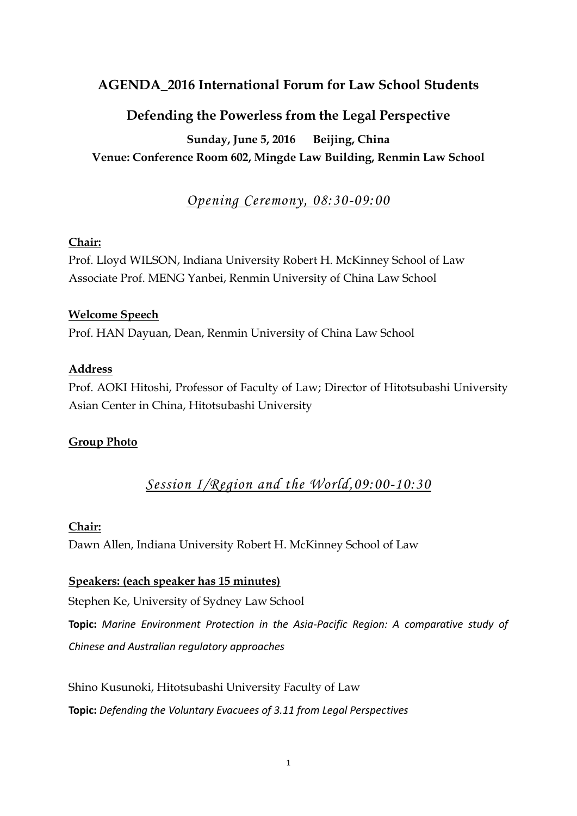## **AGENDA\_2016 International Forum for Law School Students**

## **Defending the Powerless from the Legal Perspective**

**Sunday, June 5, 2016 Beijing, China Venue: Conference Room 602, Mingde Law Building, Renmin Law School**

## *Opening Ceremony, 08:30-09:00*

#### **Chair:**

Prof. Lloyd WILSON, Indiana University Robert H. McKinney School of Law Associate Prof. MENG Yanbei, Renmin University of China Law School

#### **Welcome Speech**

Prof. HAN Dayuan, Dean, Renmin University of China Law School

#### **Address**

Prof. AOKI Hitoshi, Professor of Faculty of Law; Director of Hitotsubashi University Asian Center in China, Hitotsubashi University

#### **Group Photo**

# *Session I/Region and the World,09:00-10:30*

#### **Chair:**

Dawn Allen, Indiana University Robert H. McKinney School of Law

#### **Speakers: (each speaker has 15 minutes)**

Stephen Ke, University of Sydney Law School

**Topic:** *Marine Environment Protection in the Asia-Pacific Region: A comparative study of Chinese and Australian regulatory approaches*

Shino Kusunoki, Hitotsubashi University Faculty of Law **Topic:** *Defending the Voluntary Evacuees of 3.11 from Legal Perspectives*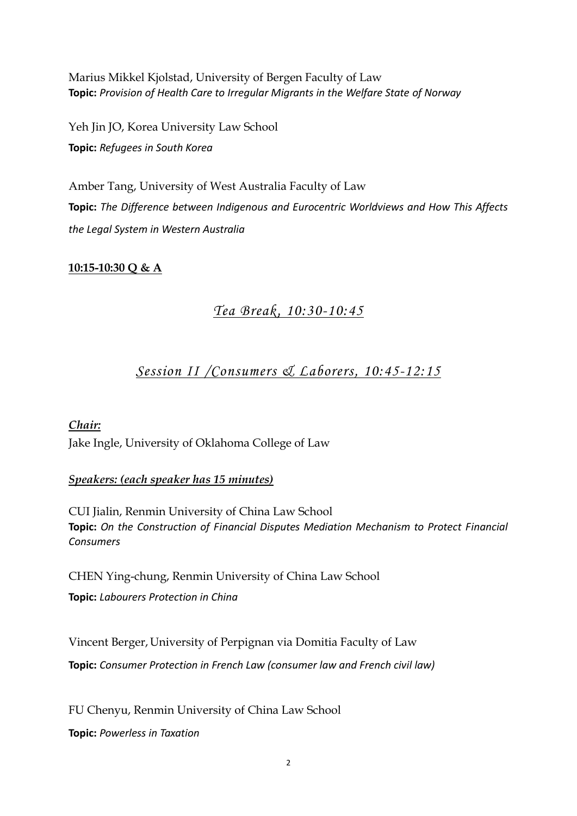Marius Mikkel Kjolstad, University of Bergen Faculty of Law **Topic:** *Provision of Health Care to Irregular Migrants in the Welfare State of Norway*

Yeh Jin JO, Korea University Law School **Topic:** *Refugees in South Korea*

Amber Tang, University of West Australia Faculty of Law **Topic:** *The Difference between Indigenous and Eurocentric Worldviews and How This Affects the Legal System in Western Australia*

#### **10:15-10:30 Q & A**

## *Tea Break, 10:30-10:45*

### *Session II /Consumers & Laborers, 10:45-12:15*

*Chair:* Jake Ingle, University of Oklahoma College of Law

#### *Speakers: (each speaker has 15 minutes)*

CUI Jialin, Renmin University of China Law School **Topic:** *On the Construction of Financial Disputes Mediation Mechanism to Protect Financial Consumers*

CHEN Ying-chung, Renmin University of China Law School **Topic:** *Labourers Protection in China*

Vincent Berger,University of Perpignan via Domitia Faculty of Law **Topic:** *Consumer Protection in French Law (consumer law and French civil law)*

FU Chenyu, Renmin University of China Law School **Topic:** *Powerless in Taxation*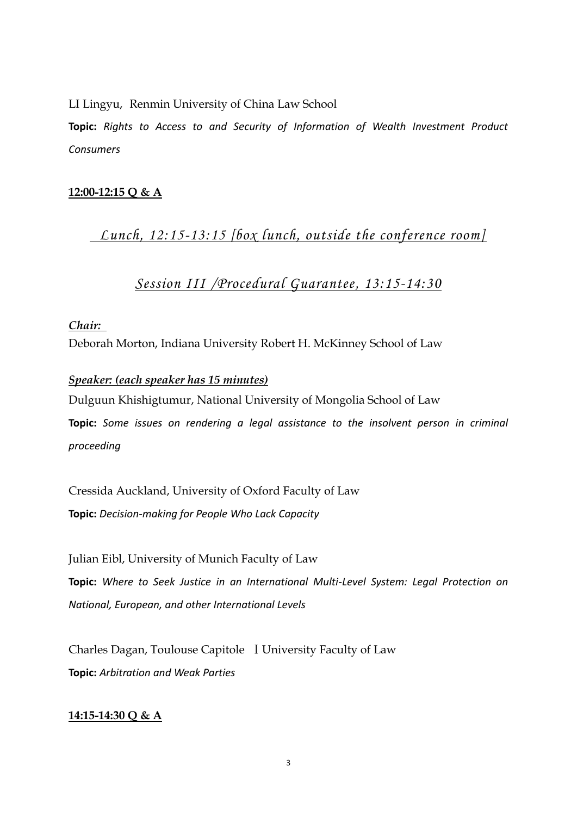LI Lingyu, Renmin University of China Law School

**Topic:** *Rights to Access to and Security of Information of Wealth Investment Product Consumers*

### **12:00-12:15 Q & A**

*Lunch, 12:15-13:15 [box lunch, outside the conference room]*

## *Session III /Procedural Guarantee, 13:15-14:30*

*Chair:* Deborah Morton, Indiana University Robert H. McKinney School of Law

#### *Speaker: (each speaker has 15 minutes)*

Dulguun Khishigtumur, National University of Mongolia School of Law **Topic:** *Some issues on rendering a legal assistance to the insolvent person in criminal proceeding*

Cressida Auckland, University of Oxford Faculty of Law **Topic:** *Decision-making for People Who Lack Capacity*

Julian Eibl, University of Munich Faculty of Law **Topic:** *Where to Seek Justice in an International Multi-Level System: Legal Protection on National, European, and other International Levels*

Charles Dagan, Toulouse Capitole ⅠUniversity Faculty of Law **Topic:** *Arbitration and Weak Parties*

#### **14:15-14:30 Q & A**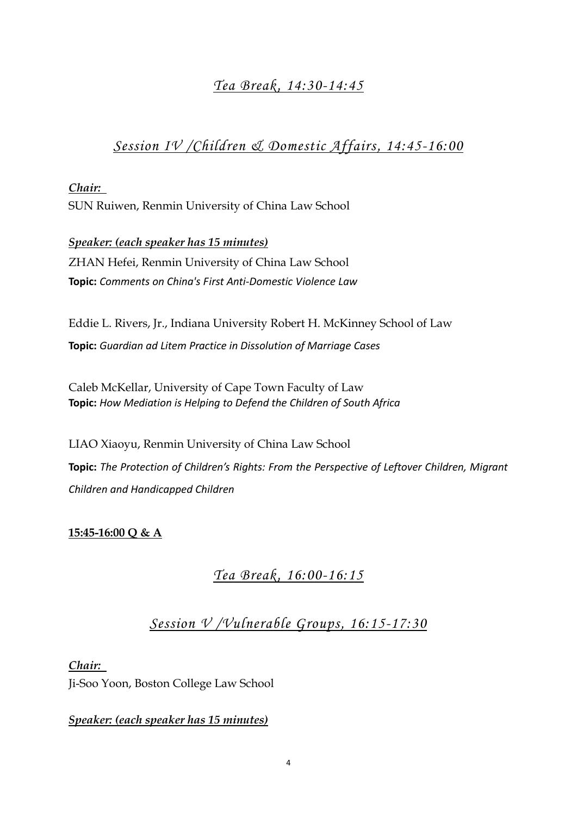# *Tea Break, 14:30-14:45*

# *Session IV /Children & Domestic Affairs, 14:45-16:00*

*Chair:*  SUN Ruiwen, Renmin University of China Law School

*Speaker: (each speaker has 15 minutes)* ZHAN Hefei, Renmin University of China Law School **Topic:** *Comments on China's First Anti-Domestic Violence Law*

Eddie L. Rivers, Jr., Indiana University Robert H. McKinney School of Law **Topic:** *Guardian ad Litem Practice in Dissolution of Marriage Cases*

Caleb McKellar, University of Cape Town Faculty of Law **Topic:** *How Mediation is Helping to Defend the Children of South Africa*

LIAO Xiaoyu, Renmin University of China Law School **Topic:** *The Protection of Children's Rights: From the Perspective of Leftover Children, Migrant Children and Handicapped Children*

### **15:45-16:00 Q & A**

# *Tea Break, 16:00-16:15*

*Session V /Vulnerable Groups, 16:15-17:30*

*Chair:* 

Ji-Soo Yoon, Boston College Law School

*Speaker: (each speaker has 15 minutes)*